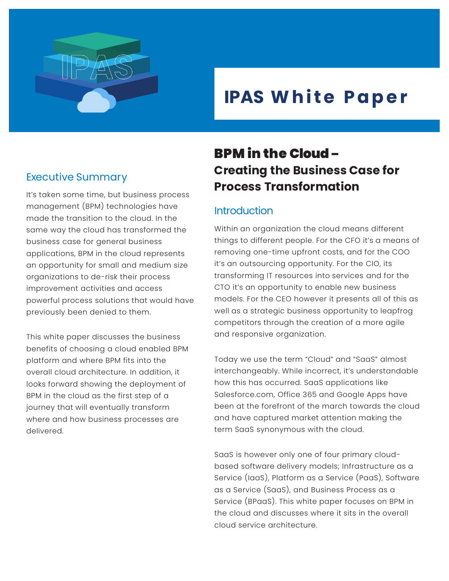

# **IPAS White Paper**

## Executive Summary

It's taken some time, but business process management (BPM) technologies have made the transition to the cloud. In the same way the cloud has transformed the business case for general business applications, BPM in the cloud represents an opportunity for small and medium size organizations to de-risk their process improvement activities and access powerful process solutions that would have previously been denied to them.

This white paper discusses the business benefits of choosing a cloud enabled BPM platform and where BPM fits into the overall cloud architecture. In addition, it looks forward showing the deployment of BPM in the cloud as the first step of a journey that will eventually transform where and how business processes are delivered.

## BPM in the Cloud – **Creating the Business Case for Process Transformation**

## **Introduction**

Within an organization the cloud means different things to different people. For the CFO it's a means of removing one-time upfront costs, and for the COO it's an outsourcing opportunity. For the CIO, its transforming IT resources into services and for the CTO it's an opportunity to enable new business models. For the CEO however it presents all of this as well as a strategic business opportunity to leapfrog competitors through the creation of a more agile and responsive organization.

Today we use the term "Cloud" and "SaaS" almost interchangeably. While incorrect, it's understandable how this has occurred. SaaS applications like Salesforce.com, Office 365 and Google Apps have been at the forefront of the march towards the cloud and have captured market attention making the term SaaS synonymous with the cloud.

SaaS is however only one of four primary cloudbased software delivery models; Infrastructure as a Service (IaaS), Platform as a Service (PaaS), Software as a Service (SaaS), and Business Process as a Service (BPaaS). This white paper focuses on BPM in the cloud and discusses where it sits in the overall cloud service architecture.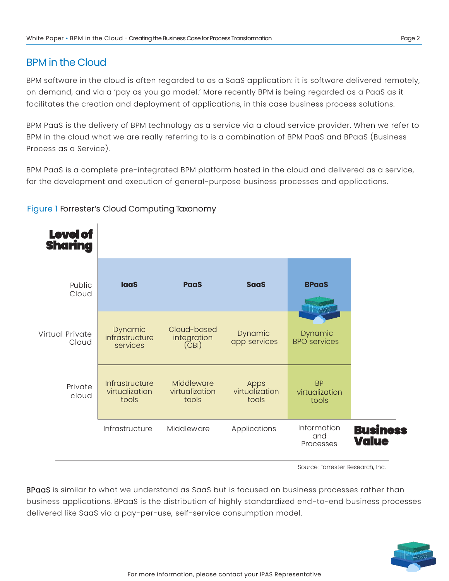## BPM in the Cloud

BPM software in the cloud is often regarded to as a SaaS application: it is software delivered remotely, on demand, and via a 'pay as you go model.' More recently BPM is being regarded as a PaaS as it facilitates the creation and deployment of applications, in this case business process solutions.

BPM PaaS is the delivery of BPM technology as a service via a cloud service provider. When we refer to BPM in the cloud what we are really referring to is a combination of BPM PaaS and BPaaS (Business Process as a Service).

BPM PaaS is a complete pre-integrated BPM platform hosted in the cloud and delivered as a service, for the development and execution of general-purpose business processes and applications.

#### Figure 1 Forrester's Cloud Computing Taxonomy



Source: Forrester Research, Inc.

BPaaS is similar to what we understand as SaaS but is focused on business processes rather than business applications. BPaaS is the distribution of highly standardized end-to-end business processes delivered like SaaS via a pay-per-use, self-service consumption model.

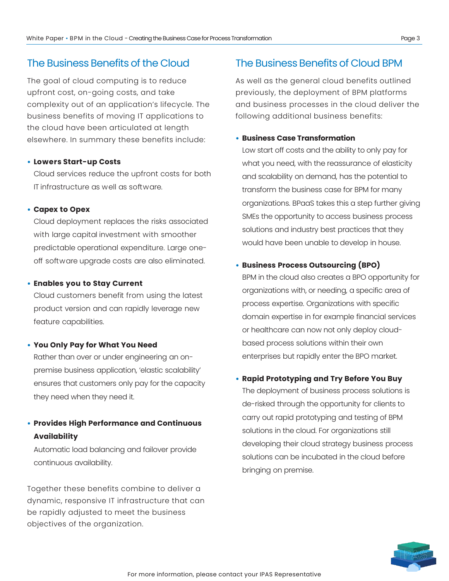## The Business Benefits of the Cloud

The goal of cloud computing is to reduce upfront cost, on-going costs, and take complexity out of an application's lifecycle. The business benefits of moving IT applications to the cloud have been articulated at length elsewhere. In summary these benefits include:

#### • **Lowers Start-up Costs**

Cloud services reduce the upfront costs for both IT infrastructure as well as software.

#### • **Capex to Opex**

Cloud deployment replaces the risks associated with large capital investment with smoother predictable operational expenditure. Large oneoff software upgrade costs are also eliminated.

#### • **Enables you to Stay Current**

Cloud customers benefit from using the latest product version and can rapidly leverage new feature capabilities.

#### • **You Only Pay for What You Need**

Rather than over or under engineering an onpremise business application, 'elastic scalability' ensures that customers only pay for the capacity they need when they need it.

## • **Provides High Performance and Continuous Availability**

Automatic load balancing and failover provide continuous availability.

Together these benefits combine to deliver a dynamic, responsive IT infrastructure that can be rapidly adjusted to meet the business objectives of the organization.

### The Business Benefits of Cloud BPM

As well as the general cloud benefits outlined previously, the deployment of BPM platforms and business processes in the cloud deliver the following additional business benefits:

#### • **Business Case Transformation**

Low start off costs and the ability to only pay for what you need, with the reassurance of elasticity and scalability on demand, has the potential to transform the business case for BPM for many organizations. BPaaS takes this a step further giving SMEs the opportunity to access business process solutions and industry best practices that they would have been unable to develop in house.

#### • **Business Process Outsourcing (BPO)**

BPM in the cloud also creates a BPO opportunity for organizations with, or needing, a specific area of process expertise. Organizations with specific domain expertise in for example financial services or healthcare can now not only deploy cloudbased process solutions within their own enterprises but rapidly enter the BPO market.

#### • **Rapid Prototyping and Try Before You Buy**

The deployment of business process solutions is de-risked through the opportunity for clients to carry out rapid prototyping and testing of BPM solutions in the cloud. For organizations still developing their cloud strategy business process solutions can be incubated in the cloud before bringing on premise.